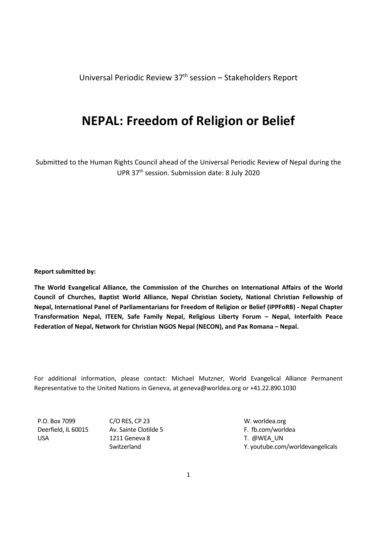Universal Periodic Review 37<sup>th</sup> session – Stakeholders Report

# **NEPAL: Freedom of Religion or Belief**

Submitted to the Human Rights Council ahead of the Universal Periodic Review of Nepal during the UPR 37th session. Submission date: 8 July 2020

**Report submitted by:**

**The World Evangelical Alliance, the Commission of the Churches on International Affairs of the World Council of Churches, Baptist World Alliance, Nepal Christian Society, National Christian Fellowship of Nepal, International Panel of Parliamentarians for Freedom of Religion or Belief (IPPFoRB) - Nepal Chapter Transformation Nepal, ITEEN, Safe Family Nepal, Religious Liberty Forum – Nepal, Interfaith Peace Federation of Nepal, Network for Christian NGOS Nepal (NECON), and Pax Romana – Nepal.**

For additional information, please contact: Michael Mutzner, World Evangelical Alliance Permanent Representative to the United Nations in Geneva, at geneva@worldea.org or +41.22.890.1030

P.O. Box 7099 Deerfield, IL 60015 USA

C/O RES, CP 23 Av. Sainte Clotilde 5 1211 Geneva 8 Switzerland

W. worldea.org F. fb.com/worldea T. @WEA\_UN Y. youtube.com/worldevangelicals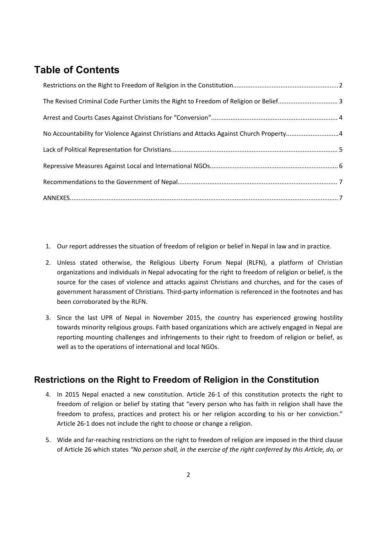## **Table of Contents**

| No Accountability for Violence Against Christians and Attacks Against Church Property4 |  |
|----------------------------------------------------------------------------------------|--|
|                                                                                        |  |
|                                                                                        |  |
|                                                                                        |  |
|                                                                                        |  |

- 1. Our report addresses the situation of freedom of religion or belief in Nepal in law and in practice.
- 2. Unless stated otherwise, the Religious Liberty Forum Nepal (RLFN), <sup>a</sup> platform of Christian organizations and individuals in Nepal advocating for the right to freedom of religion or belief, is the source for the cases of violence and attacks against Christians and churches, and for the cases of government harassment of Christians. Third-party information is referenced in the footnotes and has been corroborated by the RLFN.
- 3. Since the last UPR of Nepal in November 2015, the country has experienced growing hostility towards minority religious groups. Faith based organizations which are actively engaged in Nepal are reporting mounting challenges and infringements to their right to freedom of religion or belief, as well as to the operations of international and local NGOs.

## **Restrictions on the Right to Freedom of Religion in the Constitution**

- 4. In 2015 Nepal enacted <sup>a</sup> new constitution. Article 26-1 of this constitution protects the right to freedom of religion or belief by stating that "every person who has faith in religion shall have the freedom to profess, practices and protect his or her religion according to his or her conviction." Article 26-1 does not include the right to choose or change <sup>a</sup> religion.
- 5. Wide and far-reaching restrictions on the right to freedom of religion are imposed in the third clause of Article 26 which states *"No person shall, in the exercise of the right conferred by this Article, do, or*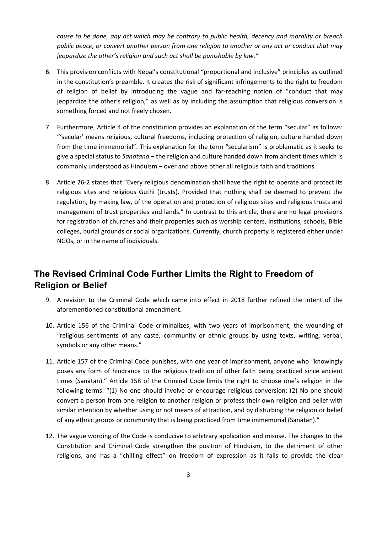<span id="page-2-0"></span>*cause to be done, any act which may be contrary to public health, decency and morality or breach* public peace, or convert another person from one religion to another or any act or conduct that may *jeopardize the other'<sup>s</sup> religion and such act shall be punishable by law."*

- 6. This provision conflicts with Nepal'<sup>s</sup> constitutional "proportional and inclusive" principles as outlined in the constitution'<sup>s</sup> preamble. It creates the risk of significant infringements to the right to freedom of religion of belief by introducing the vague and far-reaching notion of "conduct that may jeopardize the other'<sup>s</sup> religion," as well as by including the assumption that religious conversion is something forced and not freely chosen.
- 7. Furthermore, Article 4 of the constitution provides an explanation of the term "secular" as follows: "'secular' means religious, cultural freedoms, including protection of religion, culture handed down from the time immemorial". This explanation for the term "secularism" is problematic as it seeks to give <sup>a</sup> special status to *Sanatana* – the religion and culture handed down from ancient times which is commonly understood as Hinduism – over and above other all religious faith and traditions.
- 8. Article 26-2 states that "Every religious denomination shall have the right to operate and protect its religious sites and religious Guthi (trusts). Provided that nothing shall be deemed to prevent the regulation, by making law, of the operation and protection of religious sites and religious trusts and management of trust properties and lands." In contrast to this article, there are no legal provisions for registration of churches and their properties such as worship centers, institutions, schools, Bible colleges, burial grounds or social organizations. Currently, church property is registered either under NGOs, or in the name of individuals.

#### **The Revised Criminal Code Further Limits the Right to Freedom of Religion or Belief**

- 9. A revision to the Criminal Code which came into effect in 2018 further refined the intent of the aforementioned constitutional amendment.
- 10. Article 156 of the Criminal Code criminalizes, with two years of imprisonment, the wounding of "religious sentiments of any caste, community or ethnic groups by using texts, writing, verbal, symbols or any other means."
- 11. Article 157 of the Criminal Code punishes, with one year of imprisonment, anyone who "knowingly poses any form of hindrance to the religious tradition of other faith being practiced since ancient times (Sanatan)." Article 158 of the Criminal Code limits the right to choose one'<sup>s</sup> religion in the following terms: "(1) No one should involve or encourage religious conversion; (2) No one should convert <sup>a</sup> person from one religion to another religion or profess their own religion and belief with similar intention by whether using or not means of attraction, and by disturbing the religion or belief of any ethnic groups or community that is being practiced from time immemorial (Sanatan)."
- 12. The vague wording of the Code is conducive to arbitrary application and misuse. The changes to the Constitution and Criminal Code strengthen the position of Hinduism, to the detriment of other religions, and has <sup>a</sup> "chilling effect" on freedom of expression as it fails to provide the clear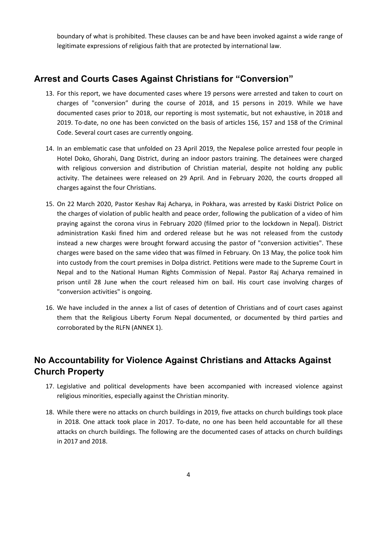<span id="page-3-0"></span>boundary of what is prohibited. These clauses can be and have been invoked against <sup>a</sup> wide range of legitimate expressions of religious faith that are protected by international law.

#### **Arrest and Courts Cases Against Christians for "Conversion"**

- 13. For this report, we have documented cases where 19 persons were arrested and taken to court on charges of "conversion" during the course of 2018, and 15 persons in 2019. While we have documented cases prior to 2018, our reporting is most systematic, but not exhaustive, in 2018 and 2019. To-date, no one has been convicted on the basis of articles 156, 157 and 158 of the Criminal Code. Several court cases are currently ongoing.
- 14. In an emblematic case that unfolded on 23 April 2019, the Nepalese police arrested four people in Hotel Doko, Ghorahi, Dang District, during an indoor pastors training. The detainees were charged with religious conversion and distribution of Christian material, despite not holding any public activity. The detainees were released on 29 April. And in February 2020, the courts dropped all charges against the four Christians.
- 15. On 22 March 2020, Pastor Keshav Raj Acharya, in Pokhara, was arrested by Kaski District Police on the charges of violation of public health and peace order, following the publication of <sup>a</sup> video of him praying against the corona virus in February 2020 (filmed prior to the lockdown in Nepal). District administration Kaski fined him and ordered release but he was not released from the custody instead <sup>a</sup> new charges were brought forward accusing the pastor of "conversion activities". These charges were based on the same video that was filmed in February. On 13 May, the police took him into custody from the court premises in Dolpa district. Petitions were made to the Supreme Court in Nepal and to the National Human Rights Commission of Nepal. Pastor Raj Acharya remained in prison until 28 June when the court released him on bail. His court case involving charges of "conversion activities" is ongoing.
- 16. We have included in the annex <sup>a</sup> list of cases of detention of Christians and of court cases against them that the Religious Liberty Forum Nepal documented, or documented by third parties and corroborated by the RLFN (ANNEX 1).

## **No Accountability for Violence Against Christians and Attacks Against Church Property**

- 17. Legislative and political developments have been accompanied with increased violence against religious minorities, especially against the Christian minority.
- 18. While there were no attacks on church buildings in 2019, five attacks on church buildings took place in 2018. One attack took place in 2017. To-date, no one has been held accountable for all these attacks on church buildings. The following are the documented cases of attacks on church buildings in 2017 and 2018.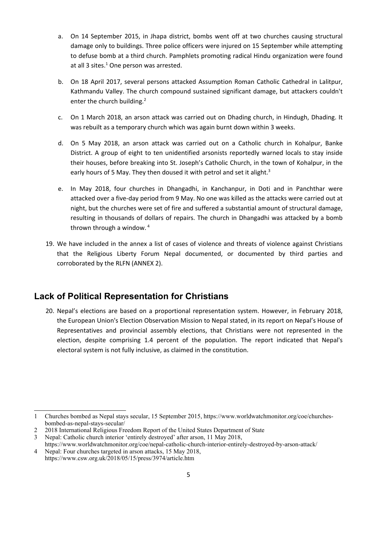- <span id="page-4-0"></span>a. On 14 September 2015, in Jhapa district, bombs went off at two churches causing structural damage only to buildings. Three police officers were injured on 15 September while attempting to defuse bomb at <sup>a</sup> third church. Pamphlets promoting radical Hindu organization were found at all 3 sites.<sup>1</sup> One person was arrested.
- b. On 18 April 2017, several persons attacked Assumption Roman Catholic Cathedral in Lalitpur, Kathmandu Valley. The church compound sustained significant damage, but attackers couldn't enter the church building.<sup>2</sup>
- c. On 1 March 2018, an arson attack was carried out on Dhading church, in Hindugh, Dhading. It was rebuilt as <sup>a</sup> temporary church which was again burnt down within 3 weeks.
- d. On 5 May 2018, an arson attack was carried out on <sup>a</sup> Catholic church in Kohalpur, Banke District. A group of eight to ten unidentified arsonists reportedly warned locals to stay inside their houses, before breaking into St. Joseph'<sup>s</sup> Catholic Church, in the town of Kohalpur, in the early hours of 5 May. They then doused it with petrol and set it alight.<sup>3</sup>
- e. In May 2018, four churches in Dhangadhi, in Kanchanpur, in Doti and in Panchthar were attacked over <sup>a</sup> five-day period from 9 May. No one was killed as the attacks were carried out at night, but the churches were set of fire and suffered <sup>a</sup> substantial amount of structural damage, resulting in thousands of dollars of repairs. The church in Dhangadhi was attacked by <sup>a</sup> bomb thrown through <sup>a</sup> window. 4
- 19. We have included in the annex <sup>a</sup> list of cases of violence and threats of violence against Christians that the Religious Liberty Forum Nepal documented, or documented by third parties and corroborated by the RLFN (ANNEX 2).

#### **Lack of Political Representation for Christians**

20. Nepal'<sup>s</sup> elections are based on <sup>a</sup> proportional representation system. However, in February 2018, the European Union's Election Observation Mission to Nepal stated, in its report on Nepal'<sup>s</sup> House of Representatives and provincial assembly elections, that Christians were not represented in the election, despite comprising 1.4 percent of the population. The report indicated that Nepal's electoral system is not fully inclusive, as claimed in the constitution.

<sup>1</sup> Churches bombed as Nepal stays secular, 15 September 2015, https://www.worldwatchmonitor.org/coe/churchesbombed-as-nepal-stays-secular/

<sup>2</sup> 2018 International Religious Freedom Report of the United States Department of State

<sup>3</sup> Nepal: Catholic church interior 'entirely destroyed' after arson, 11 May 2018,

https://www.worldwatchmonitor.org/coe/nepal-catholic-church-interior-entirely-destroyed-by-arson-attack/ 4 Nepal: Four churches targeted in arson attacks, 15 May 2018,

https://www.csw.org.uk/2018/05/15/press/3974/article.htm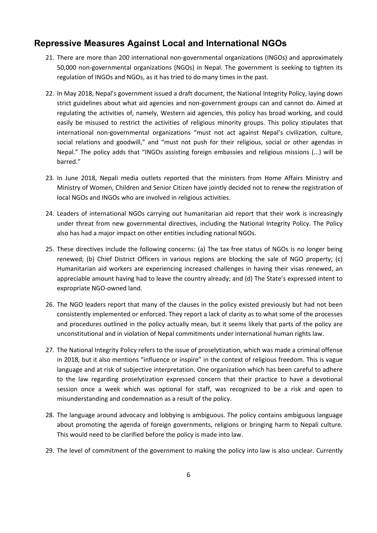#### <span id="page-5-0"></span>**Repressive Measures Against Local and International NGOs**

- 21. There are more than 200 international non-governmental organizations (INGOs) and approximately 50,000 non-governmental organizations (NGOs) in Nepal. The government is seeking to tighten its regulation of INGOs and NGOs, as it has tried to do many times in the past.
- 22. In May 2018, Nepal'<sup>s</sup> government issued <sup>a</sup> draft document, the National Integrity Policy, laying down strict guidelines about what aid agencies and non-government groups can and cannot do. Aimed at regulating the activities of, namely, Western aid agencies, this policy has broad working, and could easily be misused to restrict the activities of religious minority groups. This policy stipulates that international non-governmental organizations "must not act against Nepal'<sup>s</sup> civilization, culture, social relations and goodwill," and "must not push for their religious, social or other agendas in Nepal." The policy adds that "INGOs assisting foreign embassies and religious missions (...) will be barred."
- 23. In June 2018, Nepali media outlets reported that the ministers from Home Affairs Ministry and Ministry of Women, Children and Senior Citizen have jointly decided not to renew the registration of local NGOs and INGOs who are involved in religious activities.
- 24. Leaders of international NGOs carrying out humanitarian aid report that their work is increasingly under threat from new governmental directives, including the National Integrity Policy. The Policy also has had <sup>a</sup> major impact on other entities including national NGOs.
- 25. These directives include the following concerns: (a) The tax free status of NGOs is no longer being renewed; (b) Chief District Officers in various regions are blocking the sale of NGO property; (c) Humanitarian aid workers are experiencing increased challenges in having their visas renewed, an appreciable amount having had to leave the country already; and (d) The State'<sup>s</sup> expressed intent to expropriate NGO-owned land.
- 26. The NGO leaders report that many of the clauses in the policy existed previously but had not been consistently implemented or enforced. They report <sup>a</sup> lack of clarity as to what some of the processes and procedures outlined in the policy actually mean, but it seems likely that parts of the policy are unconstitutional and in violation of Nepal commitments under international human rights law.
- 27. The National Integrity Policy refers to the issue of proselytization, which was made <sup>a</sup> criminal offense in 2018, but it also mentions "influence or inspire" in the context of religious freedom. This is vague language and at risk of subjective interpretation. One organization which has been careful to adhere to the law regarding proselytization expressed concern that their practice to have <sup>a</sup> devotional session once <sup>a</sup> week which was optional for staff, was recognized to be <sup>a</sup> risk and open to misunderstanding and condemnation as <sup>a</sup> result of the policy.
- 28. The language around advocacy and lobbying is ambiguous. The policy contains ambiguous language about promoting the agenda of foreign governments, religions or bringing harm to Nepali culture. This would need to be clarified before the policy is made into law.
- 29. The level of commitment of the government to making the policy into law is also unclear. Currently